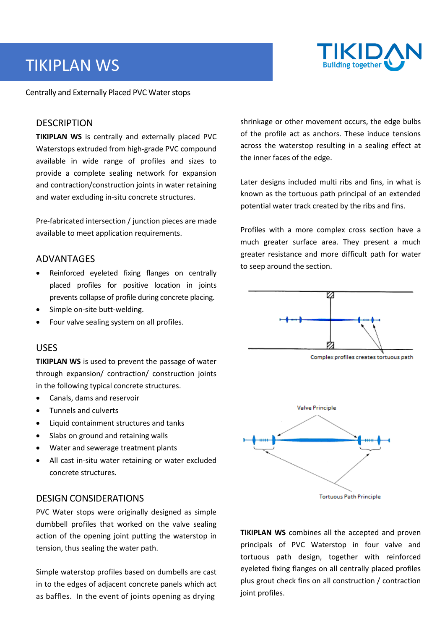# TIKIPLAN WS



Centrally and Externally Placed PVC Water stops

## **DESCRIPTION**

**TIKIPLAN WS** is centrally and externally placed PVC Waterstops extruded from high-grade PVC compound available in wide range of profiles and sizes to provide a complete sealing network for expansion and contraction/construction joints in water retaining and water excluding in-situ concrete structures.

Pre-fabricated intersection / junction pieces are made available to meet application requirements.

## ADVANTAGES

- Reinforced eyeleted fixing flanges on centrally placed profiles for positive location in joints prevents collapse of profile during concrete placing.
- Simple on-site butt-welding.
- Four valve sealing system on all profiles.

## USES

**TIKIPLAN WS** is used to prevent the passage of water through expansion/ contraction/ construction joints in the following typical concrete structures.

- Canals, dams and reservoir
- Tunnels and culverts
- Liquid containment structures and tanks
- Slabs on ground and retaining walls
- Water and sewerage treatment plants
- All cast in-situ water retaining or water excluded concrete structures.

## DESIGN CONSIDERATIONS

PVC Water stops were originally designed as simple dumbbell profiles that worked on the valve sealing action of the opening joint putting the waterstop in tension, thus sealing the water path.

Simple waterstop profiles based on dumbells are cast in to the edges of adjacent concrete panels which act as baffles. In the event of joints opening as drying

shrinkage or other movement occurs, the edge bulbs of the profile act as anchors. These induce tensions across the waterstop resulting in a sealing effect at the inner faces of the edge.

Later designs included multi ribs and fins, in what is known as the tortuous path principal of an extended potential water track created by the ribs and fins.

Profiles with a more complex cross section have a much greater surface area. They present a much greater resistance and more difficult path for water to seep around the section.



Complex profiles creates tortuous path



**TIKIPLAN WS** combines all the accepted and proven principals of PVC Waterstop in four valve and tortuous path design, together with reinforced eyeleted fixing flanges on all centrally placed profiles plus grout check fins on all construction / contraction joint profiles.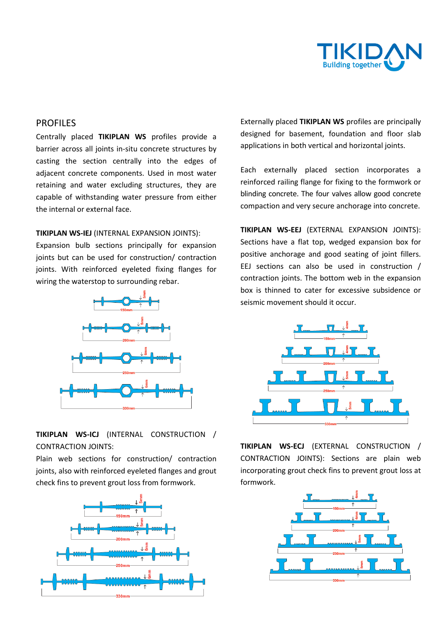

## PROFILES

Centrally placed **TIKIPLAN WS** profiles provide a barrier across all joints in-situ concrete structures by casting the section centrally into the edges of adjacent concrete components. Used in most water retaining and water excluding structures, they are capable of withstanding water pressure from either the internal or external face.

#### **TIKIPLAN WS-IEJ** (INTERNAL EXPANSION JOINTS):

Expansion bulb sections principally for expansion joints but can be used for construction/ contraction joints. With reinforced eyeleted fixing flanges for wiring the waterstop to surrounding rebar.



**TIKIPLAN WS-ICJ** (INTERNAL CONSTRUCTION / CONTRACTION JOINTS:

Plain web sections for construction/ contraction joints, also with reinforced eyeleted flanges and grout check fins to prevent grout loss from formwork.



Externally placed **TIKIPLAN WS** profiles are principally designed for basement, foundation and floor slab applications in both vertical and horizontal joints.

Each externally placed section incorporates a reinforced railing flange for fixing to the formwork or blinding concrete. The four valves allow good concrete compaction and very secure anchorage into concrete.

**TIKIPLAN WS-EEJ** (EXTERNAL EXPANSION JOINTS): Sections have a flat top, wedged expansion box for positive anchorage and good seating of joint fillers. EEJ sections can also be used in construction / contraction joints. The bottom web in the expansion box is thinned to cater for excessive subsidence or seismic movement should it occur.



**TIKIPLAN WS-ECJ** (EXTERNAL CONSTRUCTION / CONTRACTION JOINTS): Sections are plain web incorporating grout check fins to prevent grout loss at formwork.

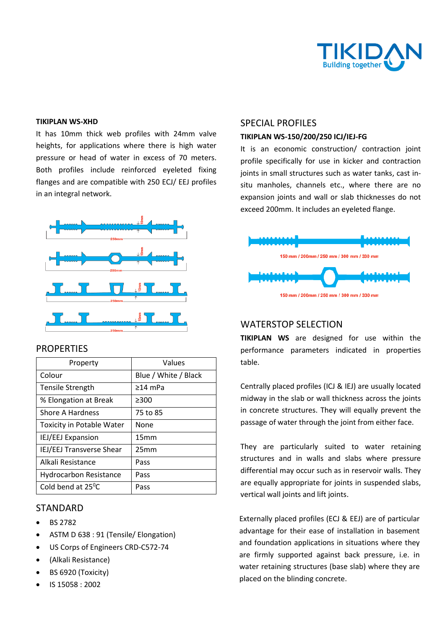

#### **TIKIPLAN WS-XHD**

It has 10mm thick web profiles with 24mm valve heights, for applications where there is high water pressure or head of water in excess of 70 meters. Both profiles include reinforced eyeleted fixing flanges and are compatible with 250 ECJ/ EEJ profiles in an integral network.



### **PROPERTIES**

| Property                         | Values               |
|----------------------------------|----------------------|
| Colour                           | Blue / White / Black |
| <b>Tensile Strength</b>          | $\geq$ 14 mPa        |
| % Elongation at Break            | >300                 |
| Shore A Hardness                 | 75 to 85             |
| <b>Toxicity in Potable Water</b> | <b>None</b>          |
| <b>IEJ/EEJ Expansion</b>         | 15mm                 |
| <b>IEJ/EEJ Transverse Shear</b>  | 25mm                 |
| Alkali Resistance                | Pass                 |
| <b>Hydrocarbon Resistance</b>    | Pass                 |
| Cold bend at 25°C                | Pass                 |

## STANDARD

- BS 2782
- ASTM D 638 : 91 (Tensile/ Elongation)
- US Corps of Engineers CRD-C572-74
- (Alkali Resistance)
- BS 6920 (Toxicity)
- IS 15058 : 2002

## SPECIAL PROFILES

#### **TIKIPLAN WS-150/200/250 ICJ/IEJ-FG**

It is an economic construction/ contraction joint profile specifically for use in kicker and contraction joints in small structures such as water tanks, cast insitu manholes, channels etc., where there are no expansion joints and wall or slab thicknesses do not exceed 200mm. It includes an eyeleted flange.



## WATERSTOP SELECTION

**TIKIPLAN WS** are designed for use within the performance parameters indicated in properties table.

Centrally placed profiles (ICJ & IEJ) are usually located midway in the slab or wall thickness across the joints in concrete structures. They will equally prevent the passage of water through the joint from either face.

They are particularly suited to water retaining structures and in walls and slabs where pressure differential may occur such as in reservoir walls. They are equally appropriate for joints in suspended slabs, vertical wall joints and lift joints.

Externally placed profiles (ECJ & EEJ) are of particular advantage for their ease of installation in basement and foundation applications in situations where they are firmly supported against back pressure, i.e. in water retaining structures (base slab) where they are placed on the blinding concrete.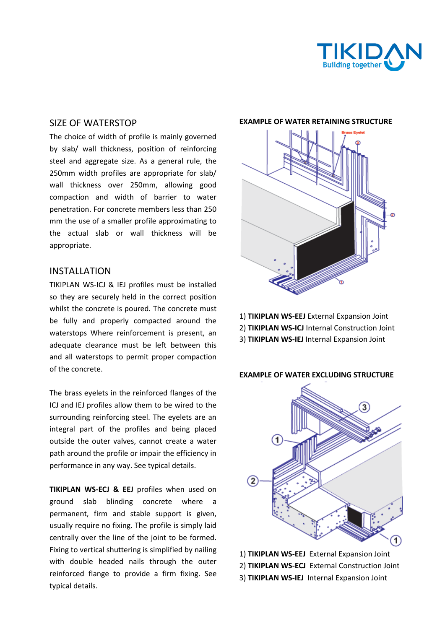

## SIZE OF WATERSTOP

The choice of width of profile is mainly governed by slab/ wall thickness, position of reinforcing steel and aggregate size. As a general rule, the 250mm width profiles are appropriate for slab/ wall thickness over 250mm, allowing good compaction and width of barrier to water penetration. For concrete members less than 250 mm the use of a smaller profile approximating to the actual slab or wall thickness will be appropriate.

## INSTALLATION

TIKIPLAN WS-ICJ & IEJ profiles must be installed so they are securely held in the correct position whilst the concrete is poured. The concrete must be fully and properly compacted around the waterstops Where reinforcement is present, an adequate clearance must be left between this and all waterstops to permit proper compaction of the concrete.

The brass eyelets in the reinforced flanges of the ICJ and IEJ profiles allow them to be wired to the surrounding reinforcing steel. The eyelets are an integral part of the profiles and being placed outside the outer valves, cannot create a water path around the profile or impair the efficiency in performance in any way. See typical details.

**TIKIPLAN WS-ECJ & EEJ** profiles when used on ground slab blinding concrete where a permanent, firm and stable support is given, usually require no fixing. The profile is simply laid centrally over the line of the joint to be formed. Fixing to vertical shuttering is simplified by nailing with double headed nails through the outer reinforced flange to provide a firm fixing. See typical details.

#### **EXAMPLE OF WATER RETAINING STRUCTURE**



1) **TIKIPLAN WS-EEJ** External Expansion Joint 2) **TIKIPLAN WS-ICJ** Internal Construction Joint 3) **TIKIPLAN WS-IEJ** Internal Expansion Joint

#### **EXAMPLE OF WATER EXCLUDING STRUCTURE**



1) **TIKIPLAN WS-EEJ** External Expansion Joint 2) **TIKIPLAN WS-ECJ** External Construction Joint

3) **TIKIPLAN WS-IEJ** Internal Expansion Joint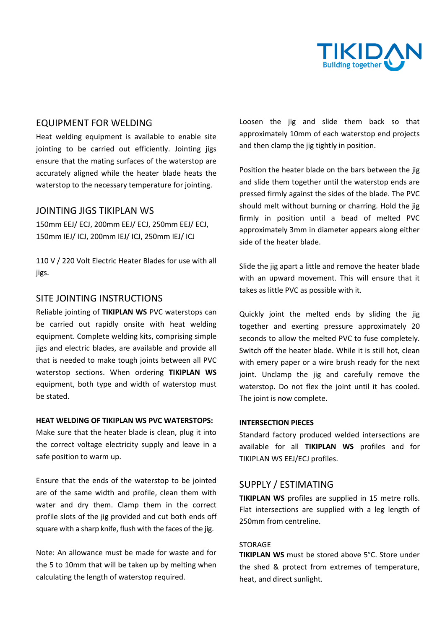

## EQUIPMENT FOR WELDING

Heat welding equipment is available to enable site jointing to be carried out efficiently. Jointing jigs ensure that the mating surfaces of the waterstop are accurately aligned while the heater blade heats the waterstop to the necessary temperature for jointing.

## JOINTING JIGS TIKIPLAN WS

150mm EEJ/ ECJ, 200mm EEJ/ ECJ, 250mm EEJ/ ECJ, 150mm IEJ/ ICJ, 200mm IEJ/ ICJ, 250mm IEJ/ ICJ

110 V / 220 Volt Electric Heater Blades for use with all jigs.

## SITE JOINTING INSTRUCTIONS

Reliable jointing of **TIKIPLAN WS** PVC waterstops can be carried out rapidly onsite with heat welding equipment. Complete welding kits, comprising simple jigs and electric blades, are available and provide all that is needed to make tough joints between all PVC waterstop sections. When ordering **TIKIPLAN WS** equipment, both type and width of waterstop must be stated.

#### **HEAT WELDING OF TIKIPLAN WS PVC WATERSTOPS:**

Make sure that the heater blade is clean, plug it into the correct voltage electricity supply and leave in a safe position to warm up.

Ensure that the ends of the waterstop to be jointed are of the same width and profile, clean them with water and dry them. Clamp them in the correct profile slots of the jig provided and cut both ends off square with a sharp knife, flush with the faces of the jig.

Note: An allowance must be made for waste and for the 5 to 10mm that will be taken up by melting when calculating the length of waterstop required.

Loosen the jig and slide them back so that approximately 10mm of each waterstop end projects and then clamp the jig tightly in position.

Position the heater blade on the bars between the jig and slide them together until the waterstop ends are pressed firmly against the sides of the blade. The PVC should melt without burning or charring. Hold the jig firmly in position until a bead of melted PVC approximately 3mm in diameter appears along either side of the heater blade.

Slide the jig apart a little and remove the heater blade with an upward movement. This will ensure that it takes as little PVC as possible with it.

Quickly joint the melted ends by sliding the jig together and exerting pressure approximately 20 seconds to allow the melted PVC to fuse completely. Switch off the heater blade. While it is still hot, clean with emery paper or a wire brush ready for the next joint. Unclamp the jig and carefully remove the waterstop. Do not flex the joint until it has cooled. The joint is now complete.

#### **INTERSECTION PIECES**

Standard factory produced welded intersections are available for all **TIKIPLAN WS** profiles and for TIKIPLAN WS EEJ/ECJ profiles.

## SUPPLY / ESTIMATING

**TIKIPLAN WS** profiles are supplied in 15 metre rolls. Flat intersections are supplied with a leg length of 250mm from centreline.

#### STORAGE

**TIKIPLAN WS** must be stored above 5°C. Store under the shed & protect from extremes of temperature, heat, and direct sunlight.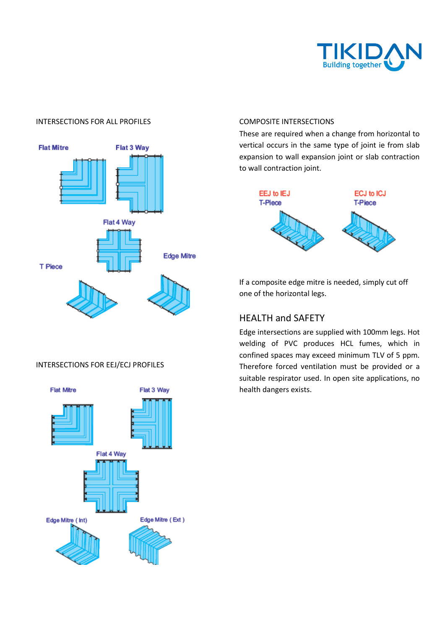

## INTERSECTIONS FOR ALL PROFILES



## INTERSECTIONS FOR EEJ/ECJ PROFILES



#### COMPOSITE INTERSECTIONS

These are required when a change from horizontal to vertical occurs in the same type of joint ie from slab expansion to wall expansion joint or slab contraction to wall contraction joint.



If a composite edge mitre is needed, simply cut off one of the horizontal legs.

## HEALTH and SAFETY

Edge intersections are supplied with 100mm legs. Hot welding of PVC produces HCL fumes, which in confined spaces may exceed minimum TLV of 5 ppm. Therefore forced ventilation must be provided or a suitable respirator used. In open site applications, no health dangers exists.